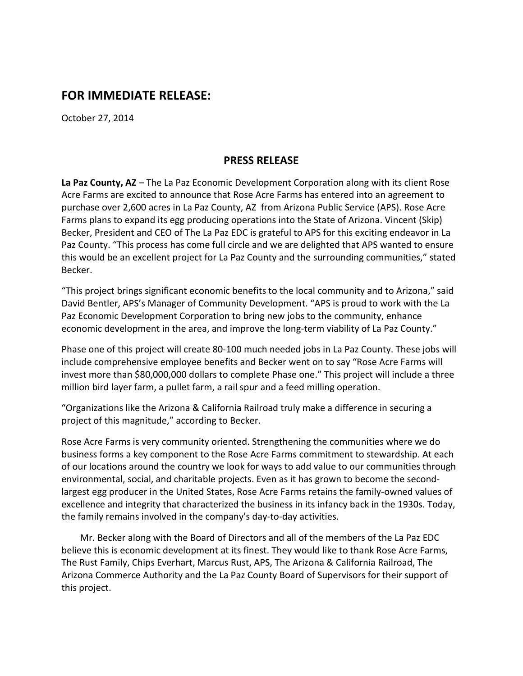## **FOR IMMEDIATE RELEASE:**

October 27, 2014

## **PRESS RELEASE**

**La Paz County, AZ** – The La Paz Economic Development Corporation along with its client Rose Acre Farms are excited to announce that Rose Acre Farms has entered into an agreement to purchase over 2,600 acres in La Paz County, AZ from Arizona Public Service (APS). Rose Acre Farms plans to expand its egg producing operations into the State of Arizona. Vincent (Skip) Becker, President and CEO of The La Paz EDC is grateful to APS for this exciting endeavor in La Paz County. "This process has come full circle and we are delighted that APS wanted to ensure this would be an excellent project for La Paz County and the surrounding communities," stated Becker.

"This project brings significant economic benefits to the local community and to Arizona," said David Bentler, APS's Manager of Community Development. "APS is proud to work with the La Paz Economic Development Corporation to bring new jobs to the community, enhance economic development in the area, and improve the long-term viability of La Paz County."

Phase one of this project will create 80-100 much needed jobs in La Paz County. These jobs will include comprehensive employee benefits and Becker went on to say "Rose Acre Farms will invest more than \$80,000,000 dollars to complete Phase one." This project will include a three million bird layer farm, a pullet farm, a rail spur and a feed milling operation.

"Organizations like the Arizona & California Railroad truly make a difference in securing a project of this magnitude," according to Becker.

Rose Acre Farms is very community oriented. Strengthening the communities where we do business forms a key component to the Rose Acre Farms commitment to stewardship. At each of our locations around the country we look for ways to add value to our communities through environmental, social, and charitable projects. Even as it has grown to become the secondlargest egg producer in the United States, Rose Acre Farms retains the family-owned values of excellence and integrity that characterized the business in its infancy back in the 1930s. Today, the family remains involved in the company's day-to-day activities.

 Mr. Becker along with the Board of Directors and all of the members of the La Paz EDC believe this is economic development at its finest. They would like to thank Rose Acre Farms, The Rust Family, Chips Everhart, Marcus Rust, APS, The Arizona & California Railroad, The Arizona Commerce Authority and the La Paz County Board of Supervisors for their support of this project.